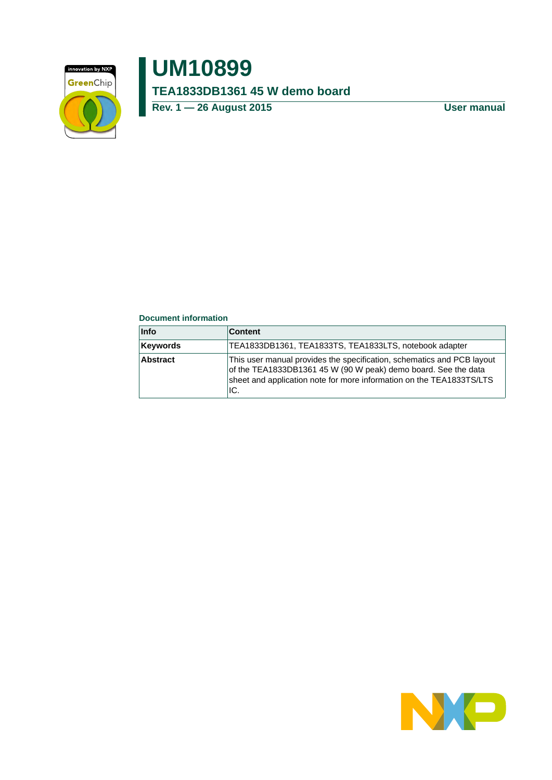

# **UM10899 TEA1833DB1361 45 W demo board**

**Rev. 1 — 26 August 2015 User manual**

#### **Document information**

| <b>Info</b>     | <b>Content</b>                                                                                                                                                                                                          |
|-----------------|-------------------------------------------------------------------------------------------------------------------------------------------------------------------------------------------------------------------------|
| <b>Keywords</b> | TEA1833DB1361, TEA1833TS, TEA1833LTS, notebook adapter                                                                                                                                                                  |
| Abstract        | This user manual provides the specification, schematics and PCB layout<br>of the TEA1833DB1361 45 W (90 W peak) demo board. See the data<br>sheet and application note for more information on the TEA1833TS/LTS<br>IC. |

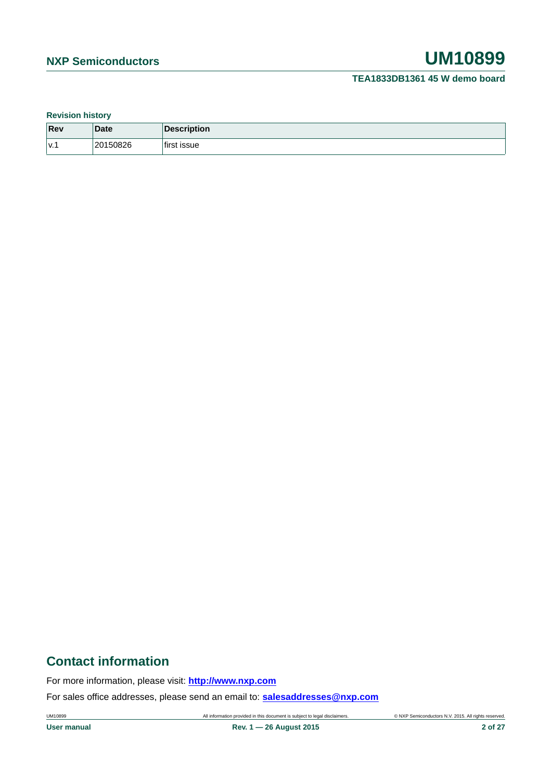#### **Revision history**

| Rev | <b>Date</b>  | Description<br>$\mathbf{D}$   |
|-----|--------------|-------------------------------|
| V.1 | 50826<br>201 | $\cdot$<br><b>ISSUE</b><br>ŤΗ |

## **Contact information**

For more information, please visit: **http://www.nxp.com**

For sales office addresses, please send an email to: **salesaddresses@nxp.com**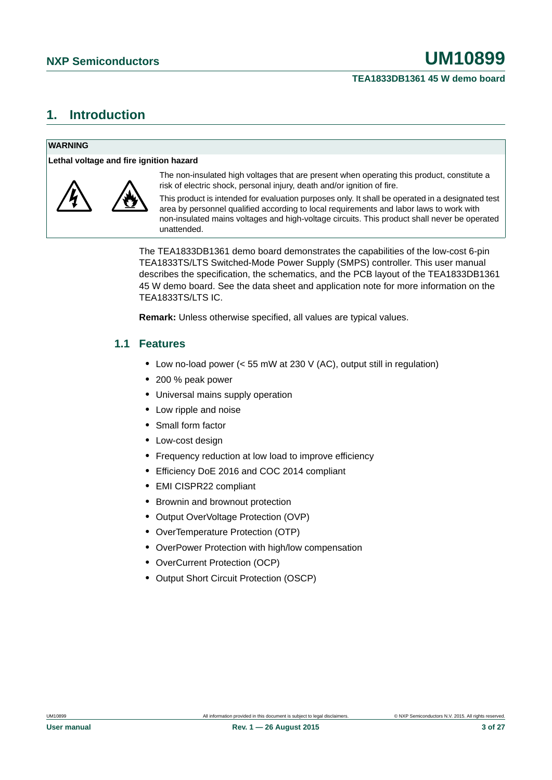## <span id="page-2-0"></span>**1. Introduction**

#### **WARNING**

**Lethal voltage and fire ignition hazard**



The non-insulated high voltages that are present when operating this product, constitute a risk of electric shock, personal injury, death and/or ignition of fire.

This product is intended for evaluation purposes only. It shall be operated in a designated test area by personnel qualified according to local requirements and labor laws to work with non-insulated mains voltages and high-voltage circuits. This product shall never be operated unattended.

The TEA1833DB1361 demo board demonstrates the capabilities of the low-cost 6-pin TEA1833TS/LTS Switched-Mode Power Supply (SMPS) controller. This user manual describes the specification, the schematics, and the PCB layout of the TEA1833DB1361 45 W demo board. See the data sheet and application note for more information on the TEA1833TS/LTS IC.

**Remark:** Unless otherwise specified, all values are typical values.

## <span id="page-2-1"></span>**1.1 Features**

- **•** Low no-load power (< 55 mW at 230 V (AC), output still in regulation)
- **•** 200 % peak power
- **•** Universal mains supply operation
- **•** Low ripple and noise
- **•** Small form factor
- **•** Low-cost design
- **•** Frequency reduction at low load to improve efficiency
- **•** Efficiency DoE 2016 and COC 2014 compliant
- **•** EMI CISPR22 compliant
- **•** Brownin and brownout protection
- **•** Output OverVoltage Protection (OVP)
- **•** OverTemperature Protection (OTP)
- **•** OverPower Protection with high/low compensation
- **•** OverCurrent Protection (OCP)
- **•** Output Short Circuit Protection (OSCP)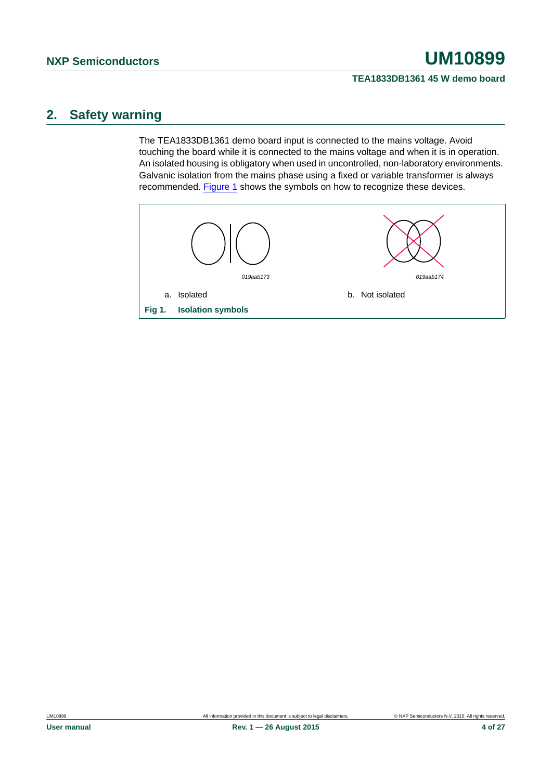## <span id="page-3-1"></span>**2. Safety warning**

The TEA1833DB1361 demo board input is connected to the mains voltage. Avoid touching the board while it is connected to the mains voltage and when it is in operation. An isolated housing is obligatory when used in uncontrolled, non-laboratory environments. Galvanic isolation from the mains phase using a fixed or variable transformer is always recommended. [Figure 1](#page-3-0) shows the symbols on how to recognize these devices.

<span id="page-3-0"></span>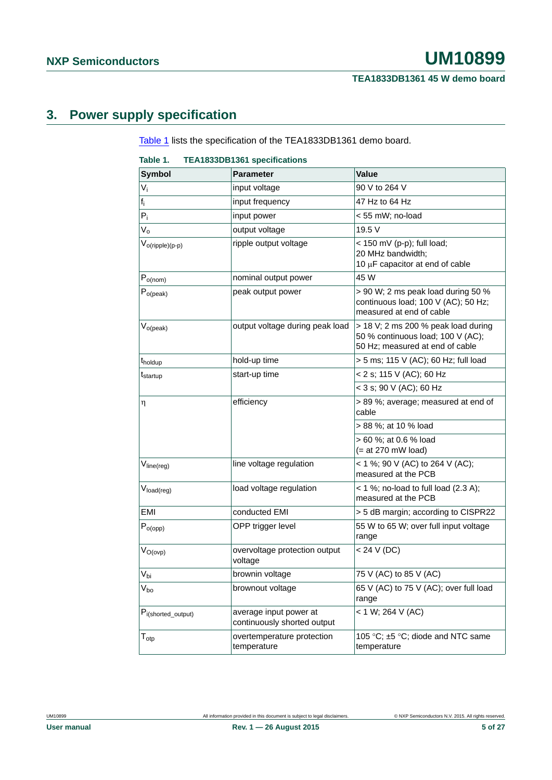# <span id="page-4-1"></span>**3. Power supply specification**

[Table 1](#page-4-0) lists the specification of the TEA1833DB1361 demo board.

#### <span id="page-4-0"></span>**Table 1. TEA1833DB1361 specifications**

| <b>Symbol</b>            | <b>Parameter</b>                                      | Value                                                                                                       |
|--------------------------|-------------------------------------------------------|-------------------------------------------------------------------------------------------------------------|
| $V_i$                    | input voltage                                         | 90 V to 264 V                                                                                               |
| $f_i$                    | input frequency                                       | 47 Hz to 64 Hz                                                                                              |
| $P_i$                    | input power                                           | < 55 mW; no-load                                                                                            |
| $V_{o}$                  | output voltage                                        | 19.5 V                                                                                                      |
| $V_{o(ripple)(p-p)}$     | ripple output voltage                                 | $<$ 150 mV (p-p); full load;<br>20 MHz bandwidth;<br>10 µF capacitor at end of cable                        |
| $P_{o(nom)}$             | nominal output power                                  | 45 W                                                                                                        |
| $P_{o (peak)}$           | peak output power                                     | > 90 W; 2 ms peak load during 50 %<br>continuous load; 100 V (AC); 50 Hz;<br>measured at end of cable       |
| $V_{o (peak)}$           | output voltage during peak load                       | > 18 V; 2 ms 200 % peak load during<br>50 % continuous load; 100 V (AC);<br>50 Hz; measured at end of cable |
| t <sub>holdup</sub>      | hold-up time                                          | > 5 ms; 115 V (AC); 60 Hz; full load                                                                        |
| t <sub>startup</sub>     | start-up time                                         | < 2 s; 115 V (AC); 60 Hz                                                                                    |
|                          |                                                       | < 3 s; 90 V (AC); 60 Hz                                                                                     |
| η                        | efficiency                                            | > 89 %; average; measured at end of<br>cable                                                                |
|                          |                                                       | > 88 %; at 10 % load                                                                                        |
|                          |                                                       | > 60 %; at 0.6 % load<br>$(= at 270$ mW load)                                                               |
| V <sub>line(reg)</sub>   | line voltage regulation                               | < 1 %; 90 V (AC) to 264 V (AC);<br>measured at the PCB                                                      |
| V <sub>load(reg)</sub>   | load voltage regulation                               | $<$ 1 %; no-load to full load (2.3 A);<br>measured at the PCB                                               |
| EMI                      | conducted EMI                                         | > 5 dB margin; according to CISPR22                                                                         |
| $P_{o(opp)}$             | OPP trigger level                                     | 55 W to 65 W; over full input voltage<br>range                                                              |
| $V_{O(ovp)}$             | overvoltage protection output<br>voltage              | < 24 V (DC)                                                                                                 |
| $V_{bi}$                 | brownin voltage                                       | 75 V (AC) to 85 V (AC)                                                                                      |
| $\rm V_{bo}$             | brownout voltage                                      | 65 V (AC) to 75 V (AC); over full load<br>range                                                             |
| $P_{i(shorted\_output)}$ | average input power at<br>continuously shorted output | $< 1 W$ ; 264 V (AC)                                                                                        |
| $T_{\text{otp}}$         | overtemperature protection<br>temperature             | 105 °C; ±5 °C; diode and NTC same<br>temperature                                                            |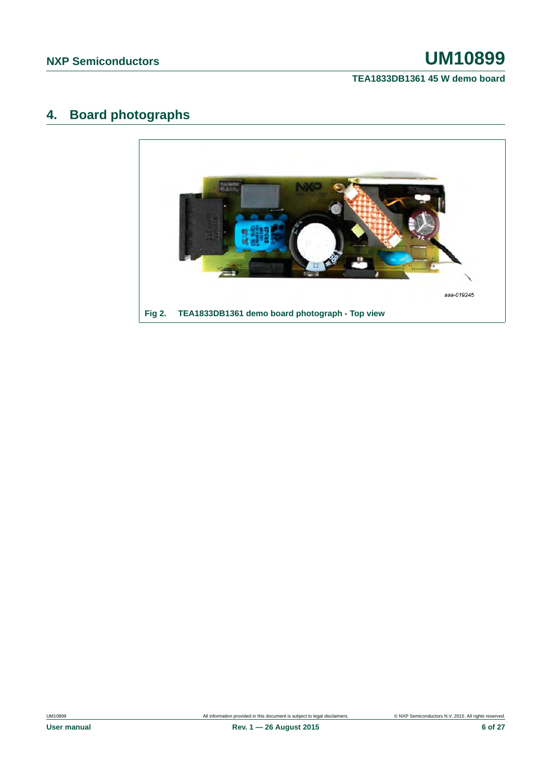**TEA1833DB1361 45 W demo board**

# <span id="page-5-0"></span>**4. Board photographs**

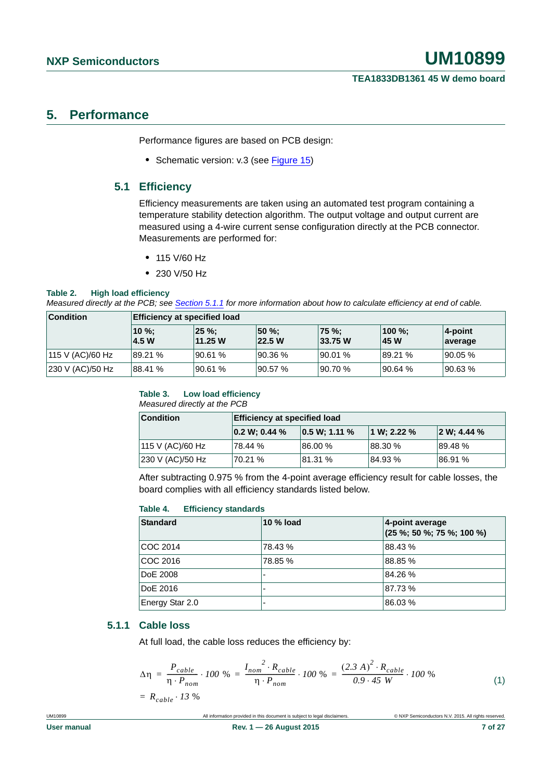## <span id="page-6-1"></span>**5. Performance**

Performance figures are based on PCB design:

**•** Schematic version: v.3 (see [Figure 15](#page-18-0))

### <span id="page-6-2"></span>**5.1 Efficiency**

Efficiency measurements are taken using an automated test program containing a temperature stability detection algorithm. The output voltage and output current are measured using a 4-wire current sense configuration directly at the PCB connector. Measurements are performed for:

- **•** 115 V/60 Hz
- **•** 230 V/50 Hz

#### **Table 2. High load efficiency**

*Measured directly at the PCB; see [Section 5.1.1](#page-6-0) for more information about how to calculate efficiency at end of cable.*

| <b>Condition</b> | <b>Efficiency at specified load</b> |                      |                        |                   |                |                       |
|------------------|-------------------------------------|----------------------|------------------------|-------------------|----------------|-----------------------|
|                  | $ 10 \%$<br>4.5 W                   | $25 \%$ :<br>11.25 W | <b>50 %:</b><br>22.5 W | ∣75 %:<br>33.75 W | 100 %:<br>45 W | $4$ -point<br>average |
| 115 V (AC)/60 Hz | 89.21 %                             | 90.61 %              | 90.36 %                | 90.01%            | 89.21 %        | 90.05 %               |
| 230 V (AC)/50 Hz | 88.41 %                             | '90.61 %             | 90.57 %                | 90.70%            | 90.64%         | 190.63%               |

#### **Table 3. Low load efficiency** *Measured directly at the PCB*

| <b>Condition</b> | <b>Efficiency at specified load</b> |               |             |                 |
|------------------|-------------------------------------|---------------|-------------|-----------------|
|                  | $ 0.2 W; 0.44 \%$                   | 0.5 W; 1.11 % | 1 W; 2.22 % | $ 2 W; 4.44 \%$ |
| 115 V (AC)/60 Hz | 78.44 %                             | 86.00 %       | 88.30%      | 89.48%          |
| 230 V (AC)/50 Hz | 70.21 %                             | 81.31 %       | 84.93%      | 86.91%          |

After subtracting 0.975 % from the 4-point average efficiency result for cable losses, the board complies with all efficiency standards listed below.

#### **Table 4. Efficiency standards**

| <b>Standard</b> | 10 % load | 4-point average<br>$(25\%; 50\%; 75\%; 100\%)$ |
|-----------------|-----------|------------------------------------------------|
| <b>COC 2014</b> | 78.43 %   | 88.43%                                         |
| COC 2016        | 78.85 %   | 88.85 %                                        |
| DoE 2008        |           | 84.26%                                         |
| DoE 2016        |           | 87.73%                                         |
| Energy Star 2.0 |           | 86.03%                                         |

#### <span id="page-6-0"></span>**5.1.1 Cable loss**

At full load, the cable loss reduces the efficiency by:

$$
\Delta \eta = \frac{P_{cable}}{\eta \cdot P_{nom}} \cdot 100 \% = \frac{I_{nom}^2 \cdot R_{cable}}{\eta \cdot P_{nom}} \cdot 100 \% = \frac{(2.3 \text{ A})^2 \cdot R_{cable}}{0.9 \cdot 45 \text{ W}} \cdot 100 \% = P_{o}^2 \cdot 12 \text{ W} \tag{1}
$$

$$
= R_{cable} \cdot 13 \%
$$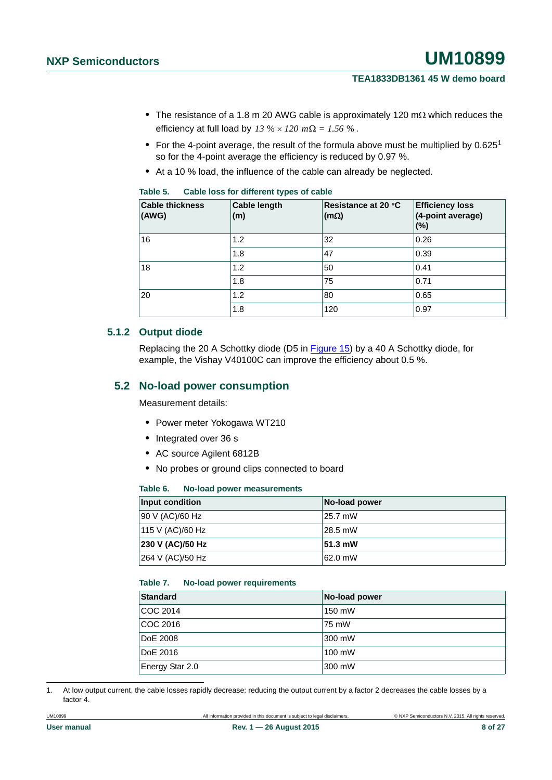- The resistance of a 1.8 m 20 AWG cable is approximately 120 m $\Omega$  which reduces the efficiency at full load by  $13\% \times 120$   $m\Omega = 1.56\%$ .
- For the 4-point average, the result of the formula above must be multiplied by 0.625<sup>1</sup> so for the 4-point average the efficiency is reduced by 0.97 %.
- **•** At a 10 % load, the influence of the cable can already be neglected.

| <b>Cable thickness</b><br>(AWG) | <b>Cable length</b><br>(m) | Resistance at 20 °C<br>$(m\Omega)$ | <b>Efficiency loss</b><br>(4-point average)<br>(%) |
|---------------------------------|----------------------------|------------------------------------|----------------------------------------------------|
| 16                              | 1.2                        | 32                                 | 0.26                                               |
|                                 | 1.8                        | 47                                 | 0.39                                               |
| 18                              | 1.2                        | 50                                 | 0.41                                               |
|                                 | 1.8                        | 75                                 | 0.71                                               |
| 20                              | 1.2                        | 80                                 | 0.65                                               |
|                                 | 1.8                        | 120                                | 0.97                                               |

#### **Table 5. Cable loss for different types of cable**

#### <span id="page-7-0"></span>**5.1.2 Output diode**

Replacing the 20 A Schottky diode (D5 in [Figure 15](#page-18-0)) by a 40 A Schottky diode, for example, the Vishay V40100C can improve the efficiency about 0.5 %.

### <span id="page-7-1"></span>**5.2 No-load power consumption**

Measurement details:

- **•** Power meter Yokogawa WT210
- **•** Integrated over 36 s
- **•** AC source Agilent 6812B
- **•** No probes or ground clips connected to board

#### **Table 6. No-load power measurements**

| Input condition  | No-load power |
|------------------|---------------|
| 90 V (AC)/60 Hz  | 25.7 mW       |
| 115 V (AC)/60 Hz | 28.5 mW       |
| 230 V (AC)/50 Hz | 51.3 mW       |
| 264 V (AC)/50 Hz | 62.0 mW       |

#### **Table 7. No-load power requirements**

| <b>Standard</b> | No-load power |
|-----------------|---------------|
| COC 2014        | 150 mW        |
| COC 2016        | 75 mW         |
| <b>DoE 2008</b> | 300 mW        |
| DoE 2016        | 100 mW        |
| Energy Star 2.0 | 300 mW        |

1. At low output current, the cable losses rapidly decrease: reducing the output current by a factor 2 decreases the cable losses by a factor 4.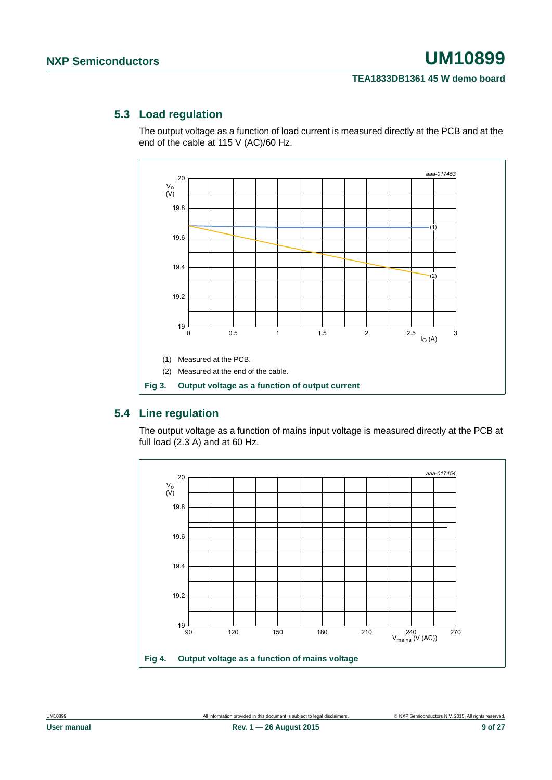### <span id="page-8-0"></span>**5.3 Load regulation**

The output voltage as a function of load current is measured directly at the PCB and at the end of the cable at 115 V (AC)/60 Hz.



### <span id="page-8-1"></span>**5.4 Line regulation**

The output voltage as a function of mains input voltage is measured directly at the PCB at full load (2.3 A) and at 60 Hz.

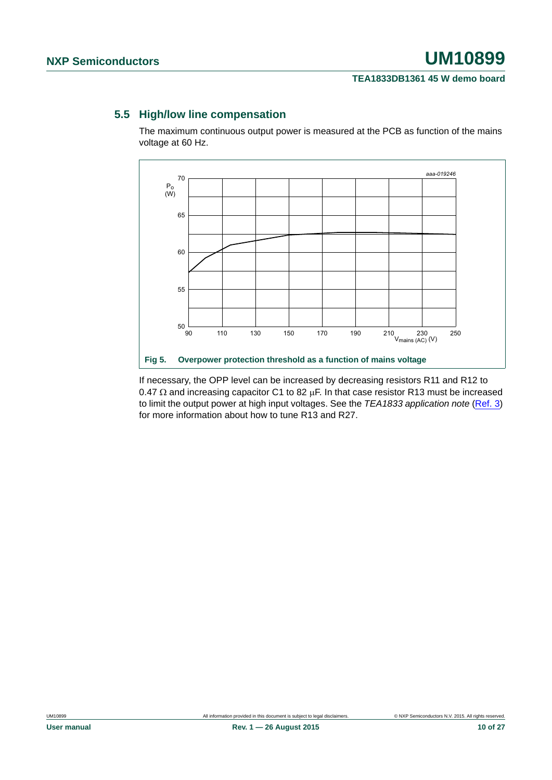## <span id="page-9-0"></span>**5.5 High/low line compensation**

The maximum continuous output power is measured at the PCB as function of the mains voltage at 60 Hz.



If necessary, the OPP level can be increased by decreasing resistors R11 and R12 to 0.47  $\Omega$  and increasing capacitor C1 to 82  $\mu$ F. In that case resistor R13 must be increased to limit the output power at high input voltages. See the *TEA1833 application note* ([Ref. 3](#page-24-0)) for more information about how to tune R13 and R27.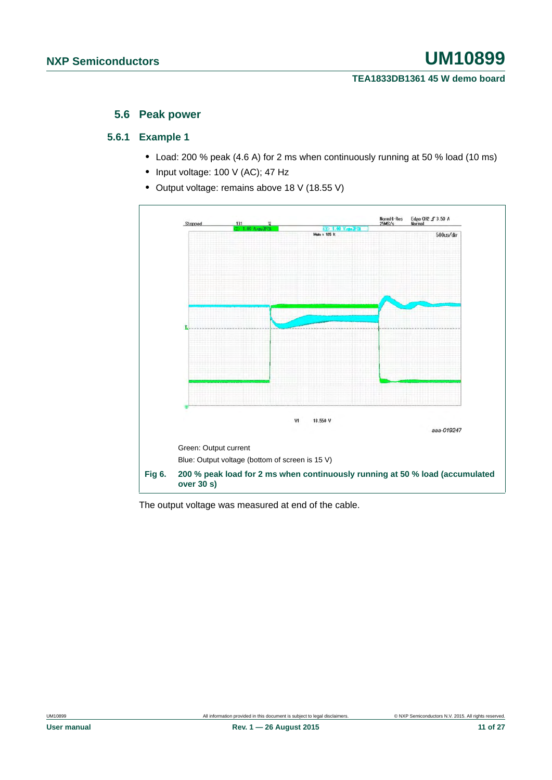#### **5.6 Peak power**

#### <span id="page-10-1"></span><span id="page-10-0"></span>**5.6.1 Example 1**

- **•** Load: 200 % peak (4.6 A) for 2 ms when continuously running at 50 % load (10 ms)
- **•** Input voltage: 100 V (AC); 47 Hz
- **•** Output voltage: remains above 18 V (18.55 V)



The output voltage was measured at end of the cable.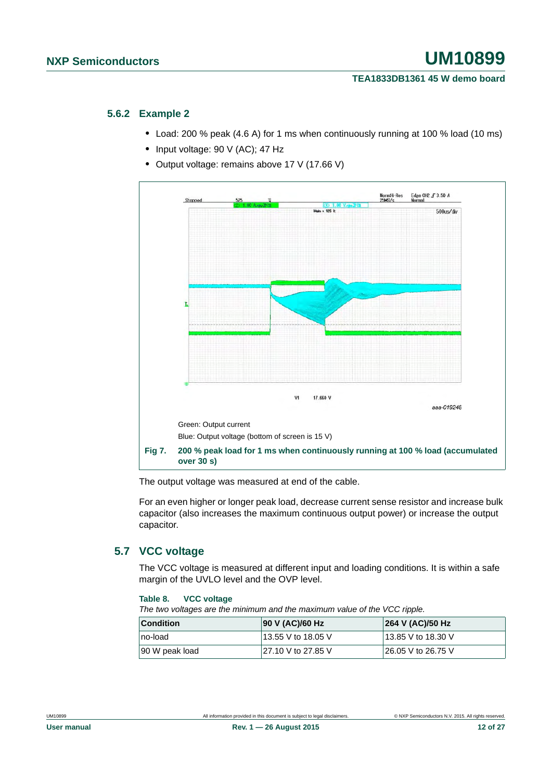#### <span id="page-11-0"></span>**5.6.2 Example 2**

- **•** Load: 200 % peak (4.6 A) for 1 ms when continuously running at 100 % load (10 ms)
- **•** Input voltage: 90 V (AC); 47 Hz
- **•** Output voltage: remains above 17 V (17.66 V)



The output voltage was measured at end of the cable.

For an even higher or longer peak load, decrease current sense resistor and increase bulk capacitor (also increases the maximum continuous output power) or increase the output capacitor.

### <span id="page-11-1"></span>**5.7 VCC voltage**

The VCC voltage is measured at different input and loading conditions. It is within a safe margin of the UVLO level and the OVP level.

#### **Table 8. VCC voltage**

*The two voltages are the minimum and the maximum value of the VCC ripple.*

| <b>Condition</b> | 90 V (AC)/60 Hz     | 264 V (AC)/50 Hz   |
|------------------|---------------------|--------------------|
| no-load          | 13.55 V to 18.05 V  | 13.85 V to 18.30 V |
| 90 W peak load   | 127.10 V to 27.85 V | 26.05 V to 26.75 V |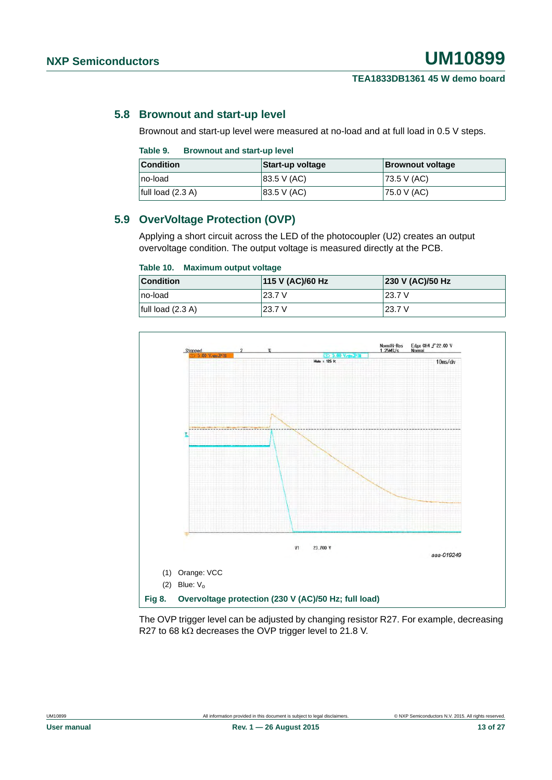#### <span id="page-12-0"></span>**5.8 Brownout and start-up level**

Brownout and start-up level were measured at no-load and at full load in 0.5 V steps.

| Table 9. | <b>Brownout and start-up level</b> |  |
|----------|------------------------------------|--|
|          |                                    |  |

| <b>Condition</b>    | Start-up voltage | <b>Brownout voltage</b> |
|---------------------|------------------|-------------------------|
| no-load             | 83.5 V (AC)      | $ 73.5 \vee (AC) $      |
| full load $(2.3 A)$ | 83.5 V (AC)      | 75.0 V (AC)             |

### <span id="page-12-1"></span>**5.9 OverVoltage Protection (OVP)**

Applying a short circuit across the LED of the photocoupler (U2) creates an output overvoltage condition. The output voltage is measured directly at the PCB.

#### **Table 10. Maximum output voltage**

| <b>Condition</b>    | 115 V (AC)/60 Hz | 230 V (AC)/50 Hz |
|---------------------|------------------|------------------|
| ∣no-load            | 23.7 V           | 23.7 V           |
| full load $(2.3 A)$ | 23.7 V           | 23.7 V           |



The OVP trigger level can be adjusted by changing resistor R27. For example, decreasing R27 to 68 k $\Omega$  decreases the OVP trigger level to 21.8 V.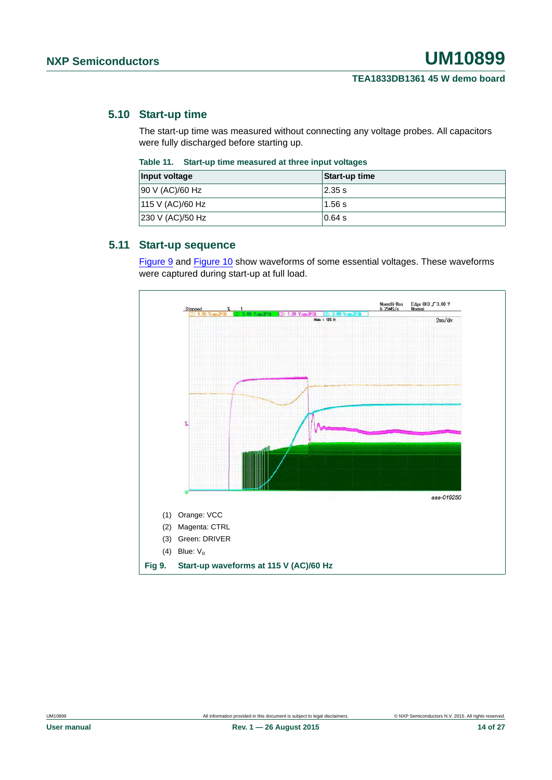#### <span id="page-13-1"></span>**5.10 Start-up time**

The start-up time was measured without connecting any voltage probes. All capacitors were fully discharged before starting up.

| Table 11. Start-up time measured at three input voltages |
|----------------------------------------------------------|
|                                                          |

| Input voltage    | Start-up time |
|------------------|---------------|
| 90 V (AC)/60 Hz  | 2.35 s        |
| 115 V (AC)/60 Hz | 1.56 s        |
| 230 V (AC)/50 Hz | $0.64$ s      |

#### <span id="page-13-2"></span>**5.11 Start-up sequence**

[Figure 9](#page-13-0) and [Figure 10](#page-14-0) show waveforms of some essential voltages. These waveforms were captured during start-up at full load.

<span id="page-13-0"></span>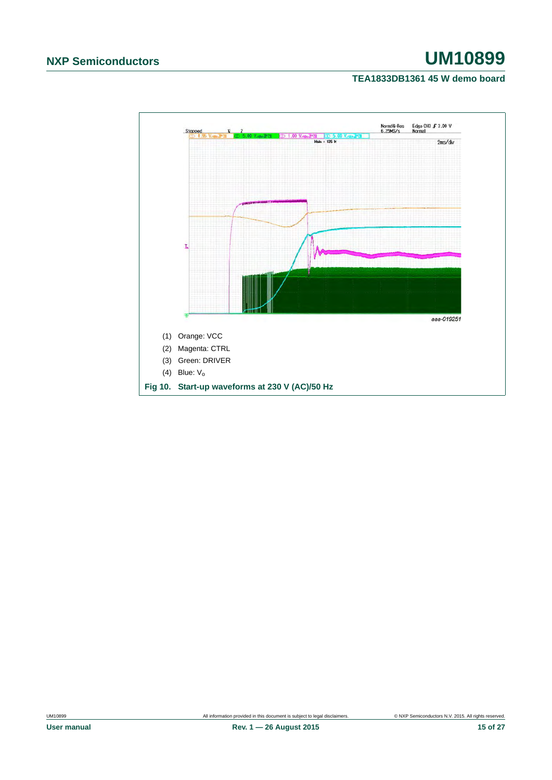## **TEA1833DB1361 45 W demo board**

<span id="page-14-0"></span>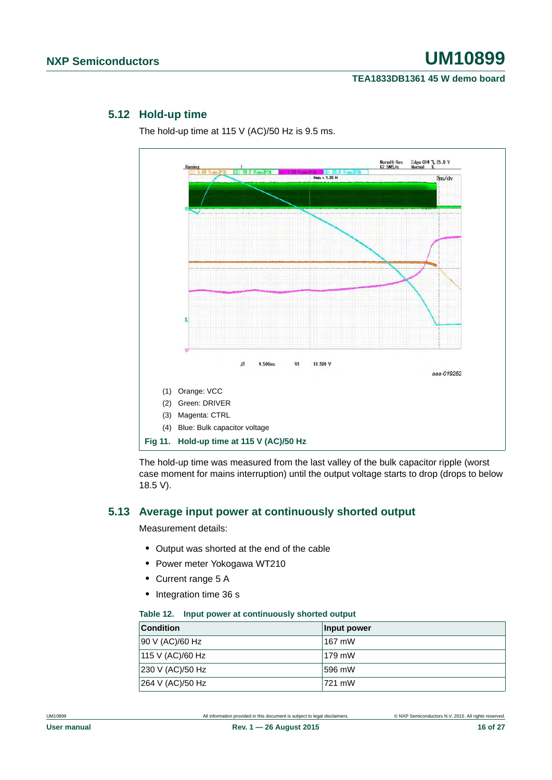### <span id="page-15-0"></span>**5.12 Hold-up time**

The hold-up time at 115 V (AC)/50 Hz is 9.5 ms.



The hold-up time was measured from the last valley of the bulk capacitor ripple (worst case moment for mains interruption) until the output voltage starts to drop (drops to below 18.5 V).

#### <span id="page-15-1"></span>**5.13 Average input power at continuously shorted output**

Measurement details:

- **•** Output was shorted at the end of the cable
- **•** Power meter Yokogawa WT210
- **•** Current range 5 A
- **•** Integration time 36 s

#### **Table 12. Input power at continuously shorted output**

| <b>Condition</b> | Input power |
|------------------|-------------|
| 90 V (AC)/60 Hz  | 167 mW      |
| 115 V (AC)/60 Hz | $179$ mW    |
| 230 V (AC)/50 Hz | 596 mW      |
| 264 V (AC)/50 Hz | 721 mW      |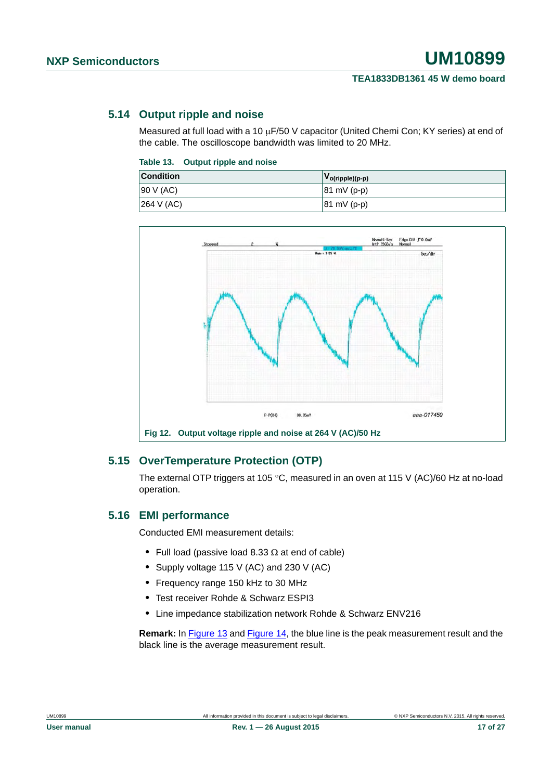## <span id="page-16-0"></span>**5.14 Output ripple and noise**

Measured at full load with a 10  $\mu$ F/50 V capacitor (United Chemi Con; KY series) at end of the cable. The oscilloscope bandwidth was limited to 20 MHz.

#### **Table 13. Output ripple and noise**

| <b>Condition</b>       | $ V_{o(ripple)(p-p)} $ |
|------------------------|------------------------|
| 90 V (AC)              | $ 81 \text{ mV}$ (p-p) |
| $ 264 \text{ V} (AC) $ | $ 81 \text{ mV}$ (p-p) |



## <span id="page-16-1"></span>**5.15 OverTemperature Protection (OTP)**

The external OTP triggers at 105 °C, measured in an oven at 115 V (AC)/60 Hz at no-load operation.

## <span id="page-16-2"></span>**5.16 EMI performance**

Conducted EMI measurement details:

- Full load (passive load  $8.33 \Omega$  at end of cable)
- **•** Supply voltage 115 V (AC) and 230 V (AC)
- **•** Frequency range 150 kHz to 30 MHz
- **•** Test receiver Rohde & Schwarz ESPI3
- **•** Line impedance stabilization network Rohde & Schwarz ENV216

**Remark:** In [Figure 13](#page-17-0) and [Figure 14](#page-17-1), the blue line is the peak measurement result and the black line is the average measurement result.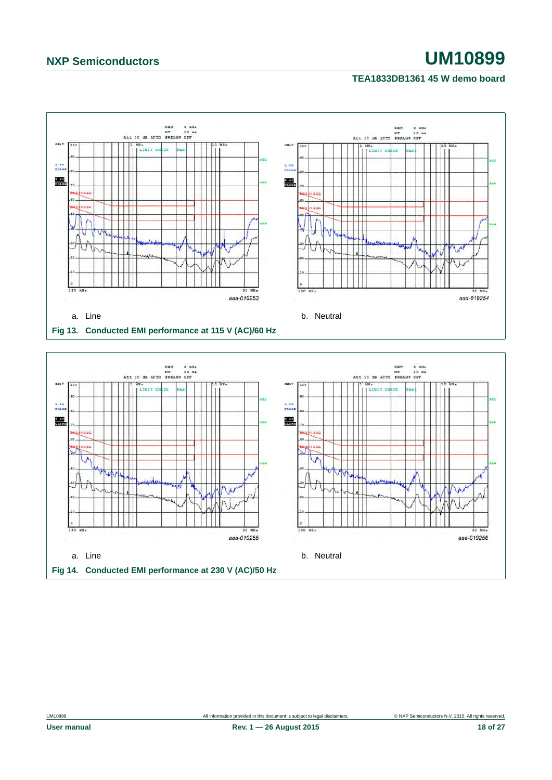#### **TEA1833DB1361 45 W demo board**



<span id="page-17-1"></span><span id="page-17-0"></span>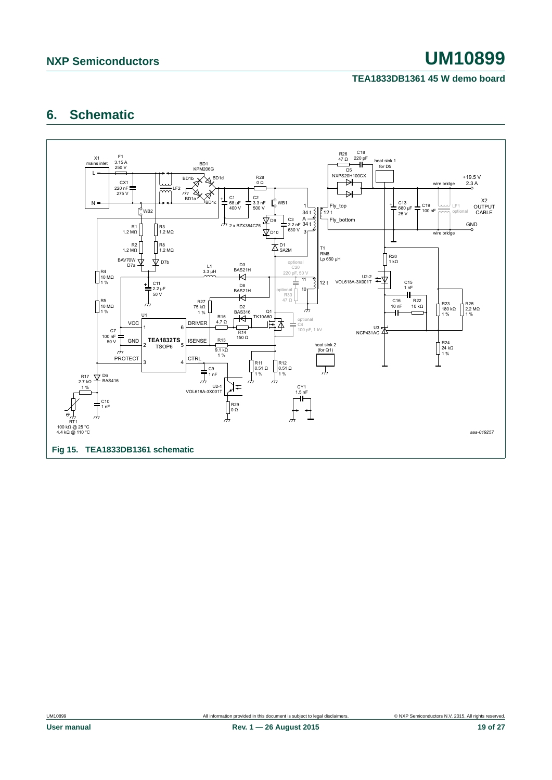### **TEA1833DB1361 45 W demo board**

# <span id="page-18-1"></span>**6. Schematic**

<span id="page-18-0"></span>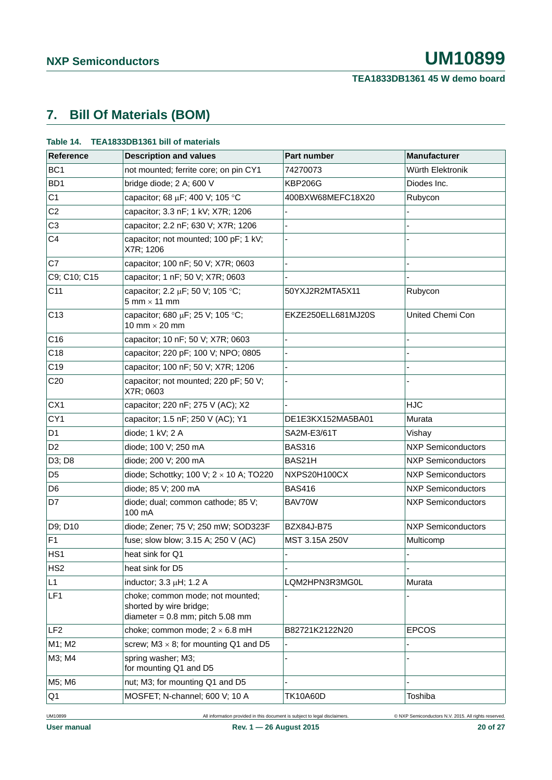# <span id="page-19-0"></span>**7. Bill Of Materials (BOM)**

| Reference       | <b>Description and values</b>                                                                       | Part number        | <b>Manufacturer</b>       |
|-----------------|-----------------------------------------------------------------------------------------------------|--------------------|---------------------------|
| BC <sub>1</sub> | not mounted; ferrite core; on pin CY1                                                               | 74270073           | Würth Elektronik          |
| BD <sub>1</sub> | bridge diode; 2 A; 600 V                                                                            | <b>KBP206G</b>     | Diodes Inc.               |
| C <sub>1</sub>  | capacitor; 68 µF; 400 V; 105 °C                                                                     | 400BXW68MEFC18X20  | Rubycon                   |
| C <sub>2</sub>  | capacitor; 3.3 nF; 1 kV; X7R; 1206                                                                  |                    |                           |
| C <sub>3</sub>  | capacitor; 2.2 nF; 630 V; X7R; 1206                                                                 |                    |                           |
| C <sub>4</sub>  | capacitor; not mounted; 100 pF; 1 kV;<br>X7R; 1206                                                  |                    |                           |
| C7              | capacitor; 100 nF; 50 V; X7R; 0603                                                                  |                    |                           |
| C9; C10; C15    | capacitor; 1 nF; 50 V; X7R; 0603                                                                    |                    |                           |
| C11             | capacitor; 2.2 μF; 50 V; 105 °C;<br>$5$ mm $\times$ 11 mm                                           | 50YXJ2R2MTA5X11    | Rubycon                   |
| C <sub>13</sub> | capacitor; 680 µF; 25 V; 105 °C;<br>10 mm $\times$ 20 mm                                            | EKZE250ELL681MJ20S | United Chemi Con          |
| C16             | capacitor; 10 nF; 50 V; X7R; 0603                                                                   |                    |                           |
| C18             | capacitor; 220 pF; 100 V; NPO; 0805                                                                 |                    |                           |
| C <sub>19</sub> | capacitor; 100 nF; 50 V; X7R; 1206                                                                  |                    |                           |
| C <sub>20</sub> | capacitor; not mounted; 220 pF; 50 V;<br>X7R; 0603                                                  |                    |                           |
| CX1             | capacitor; 220 nF; 275 V (AC); X2                                                                   |                    | <b>HJC</b>                |
| CY1             | capacitor; 1.5 nF; 250 V (AC); Y1                                                                   | DE1E3KX152MA5BA01  | Murata                    |
| D <sub>1</sub>  | diode; 1 kV; 2 A                                                                                    | SA2M-E3/61T        | Vishay                    |
| D <sub>2</sub>  | diode; 100 V; 250 mA                                                                                | <b>BAS316</b>      | <b>NXP Semiconductors</b> |
| D3; D8          | diode; 200 V; 200 mA                                                                                | BAS21H             | <b>NXP Semiconductors</b> |
| D <sub>5</sub>  | diode; Schottky; 100 V; $2 \times 10$ A; TO220                                                      | NXPS20H100CX       | <b>NXP Semiconductors</b> |
| D <sub>6</sub>  | diode; 85 V; 200 mA                                                                                 | <b>BAS416</b>      | <b>NXP Semiconductors</b> |
| D7              | diode; dual; common cathode; 85 V;<br>100 mA                                                        | BAV70W             | <b>NXP Semiconductors</b> |
| D9; D10         | diode; Zener; 75 V; 250 mW; SOD323F                                                                 | <b>BZX84J-B75</b>  | <b>NXP Semiconductors</b> |
| F <sub>1</sub>  | fuse; slow blow; 3.15 A; 250 V (AC)                                                                 | MST 3.15A 250V     | Multicomp                 |
| HS <sub>1</sub> | heat sink for Q1                                                                                    |                    |                           |
| HS <sub>2</sub> | heat sink for D5                                                                                    |                    |                           |
| L1              | inductor; 3.3 µH; 1.2 A                                                                             | LQM2HPN3R3MG0L     | Murata                    |
| LF1             | choke; common mode; not mounted;<br>shorted by wire bridge;<br>diameter = $0.8$ mm; pitch $5.08$ mm |                    |                           |
| LF <sub>2</sub> | choke; common mode; $2 \times 6.8$ mH                                                               | B82721K2122N20     | <b>EPCOS</b>              |
| M1; M2          | screw; $M3 \times 8$ ; for mounting Q1 and D5                                                       |                    |                           |
| M3; M4          | spring washer; M3;<br>for mounting Q1 and D5                                                        |                    |                           |
| M5; M6          | nut; M3; for mounting Q1 and D5                                                                     |                    |                           |
| Q <sub>1</sub>  | MOSFET; N-channel; 600 V; 10 A                                                                      | <b>TK10A60D</b>    | Toshiba                   |

#### **Table 14. TEA1833DB1361 bill of materials**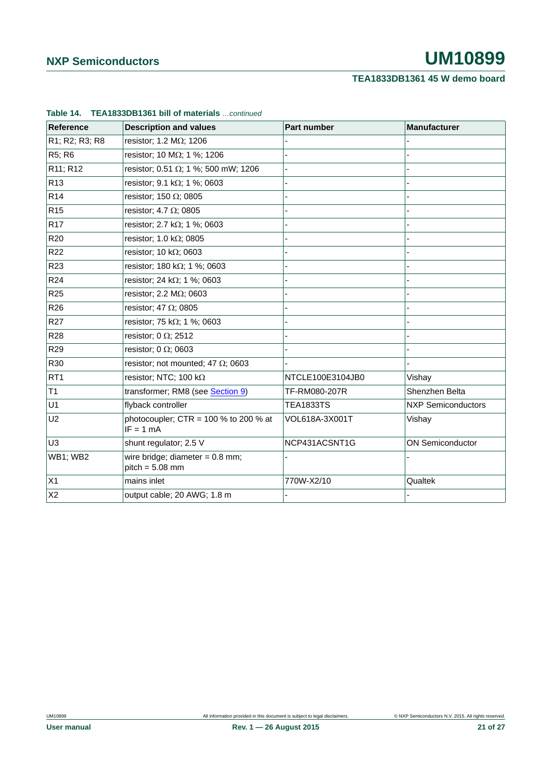## **TEA1833DB1361 45 W demo board**

| Reference       | <b>Description and values</b>                          | <b>Part number</b> | <b>Manufacturer</b>       |
|-----------------|--------------------------------------------------------|--------------------|---------------------------|
| R1; R2; R3; R8  | resistor; 1.2 $M\Omega$ ; 1206                         |                    |                           |
| R5; R6          | resistor; 10 MΩ; 1 %; 1206                             |                    |                           |
| R11; R12        | resistor; 0.51 $\Omega$ ; 1 %; 500 mW; 1206            |                    |                           |
| R <sub>13</sub> | resistor; 9.1 k $\Omega$ ; 1 %; 0603                   |                    |                           |
| R <sub>14</sub> | resistor; 150 $\Omega$ ; 0805                          |                    |                           |
| R <sub>15</sub> | resistor; 4.7 $\Omega$ ; 0805                          |                    |                           |
| R <sub>17</sub> | resistor; 2.7 k $\Omega$ ; 1 %; 0603                   |                    |                           |
| R <sub>20</sub> | resistor; 1.0 k $\Omega$ ; 0805                        |                    |                           |
| R <sub>22</sub> | resistor; 10 k $\Omega$ ; 0603                         |                    |                           |
| R <sub>23</sub> | resistor; 180 k $\Omega$ ; 1 %; 0603                   |                    |                           |
| R <sub>24</sub> | resistor; 24 k $\Omega$ ; 1 %; 0603                    |                    |                           |
| R <sub>25</sub> | resistor; 2.2 $M\Omega$ ; 0603                         |                    |                           |
| R <sub>26</sub> | resistor; 47 $\Omega$ ; 0805                           |                    |                           |
| R <sub>27</sub> | resistor; 75 k $\Omega$ ; 1 %; 0603                    |                    |                           |
| <b>R28</b>      | resistor; 0 $\Omega$ ; 2512                            |                    |                           |
| R <sub>29</sub> | resistor; 0 $\Omega$ ; 0603                            |                    |                           |
| R30             | resistor; not mounted; 47 $\Omega$ ; 0603              |                    |                           |
| RT <sub>1</sub> | resistor; NTC; 100 k $\Omega$                          | NTCLE100E3104JB0   | Vishay                    |
| T1              | transformer; RM8 (see Section 9)                       | TF-RM080-207R      | Shenzhen Belta            |
| U1              | flyback controller                                     | <b>TEA1833TS</b>   | <b>NXP Semiconductors</b> |
| U <sub>2</sub>  | photocoupler; $CTR = 100 %$ to 200 % at<br>$IF = 1 mA$ | VOL618A-3X001T     | Vishay                    |
| U <sub>3</sub>  | shunt regulator; 2.5 V                                 | NCP431ACSNT1G      | <b>ON Semiconductor</b>   |
| <b>WB1; WB2</b> | wire bridge; diameter = $0.8$ mm;<br>$pitch = 5.08$ mm |                    |                           |
| X1              | mains inlet                                            | 770W-X2/10         | Qualtek                   |
| X <sub>2</sub>  | output cable; 20 AWG; 1.8 m                            |                    |                           |

#### **Table 14. TEA1833DB1361 bill of materials** *…continued*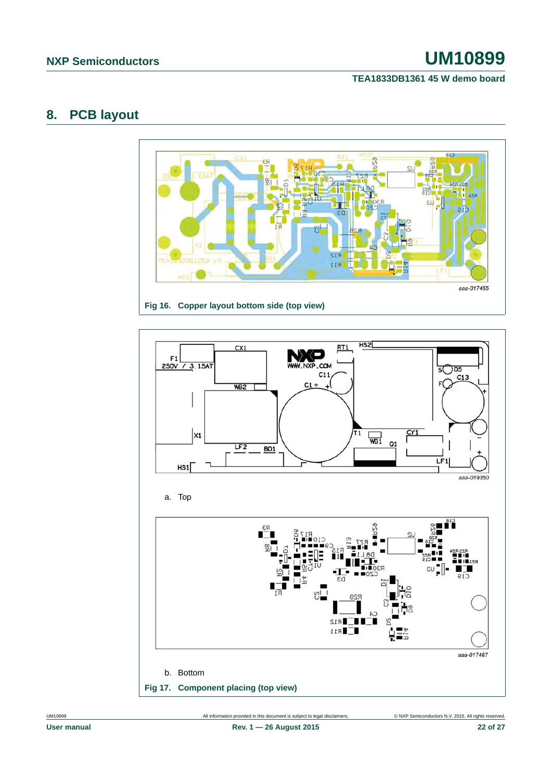### **TEA1833DB1361 45 W demo board**

## <span id="page-21-0"></span>**8. PCB layout**



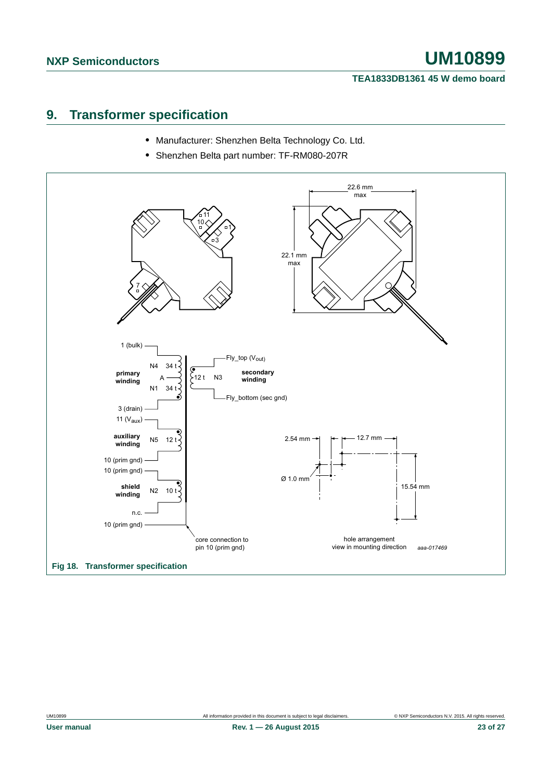#### **TEA1833DB1361 45 W demo board**

## <span id="page-22-0"></span>**9. Transformer specification**

- **•** Manufacturer: Shenzhen Belta Technology Co. Ltd.
- **•** Shenzhen Belta part number: TF-RM080-207R

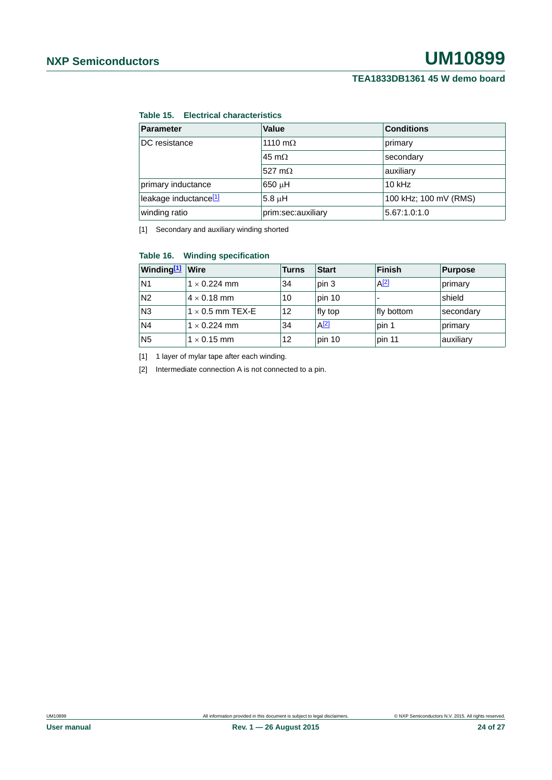#### **Table 15. Electrical characteristics**

| <b>Parameter</b>                  | Value              | <b>Conditions</b>     |
|-----------------------------------|--------------------|-----------------------|
| DC resistance                     | 1110 m $\Omega$    | primary               |
|                                   | 45 m $\Omega$      | secondary             |
|                                   | 527 m $\Omega$     | auxiliary             |
| primary inductance                | 650 uH             | $10$ kHz              |
| leakage inductance <sup>[1]</sup> | 5.8 uH             | 100 kHz; 100 mV (RMS) |
| winding ratio                     | prim:sec:auxiliary | 5.67:1.0:1.0          |

<span id="page-23-0"></span>[1] Secondary and auxiliary winding shorted

#### **Table 16. Winding specification**

| Winding <sup>[1]</sup> Wire |                         | <b>Turns</b> | <b>Start</b> | Finish     | Purpose   |
|-----------------------------|-------------------------|--------------|--------------|------------|-----------|
| N <sub>1</sub>              | $1 \times 0.224$ mm     | 34           | pin 3        | $A^{[2]}$  | primary   |
| N <sub>2</sub>              | $4 \times 0.18$ mm      | 10           | pin 10       |            | shield    |
| N <sub>3</sub>              | $1 \times 0.5$ mm TEX-E | 12           | fly top      | fly bottom | secondary |
| N <sub>4</sub>              | $1 \times 0.224$ mm     | 34           | $A^{[2]}$    | pin 1      | primary   |
| N <sub>5</sub>              | $1 \times 0.15$ mm      | 12           | pin 10       | pin 11     | auxiliary |

<span id="page-23-1"></span>[1] 1 layer of mylar tape after each winding.

<span id="page-23-2"></span>[2] Intermediate connection A is not connected to a pin.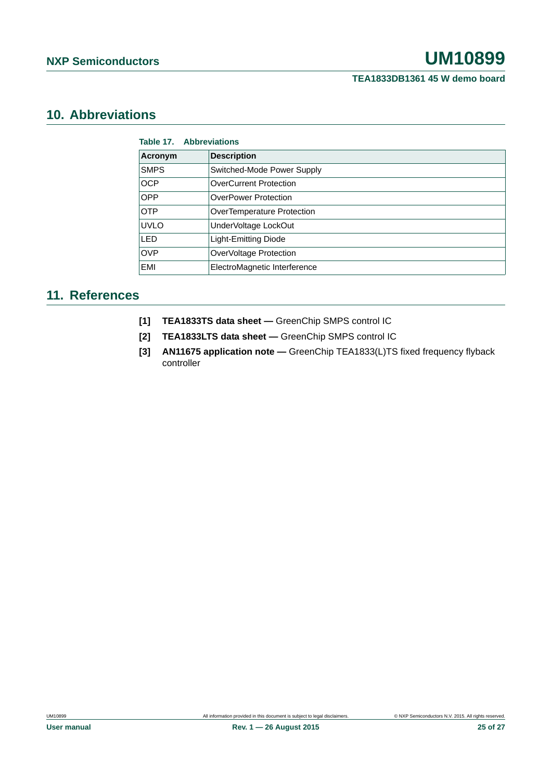# <span id="page-24-1"></span>**10. Abbreviations**

| Table 17. Abbreviations |                               |  |  |
|-------------------------|-------------------------------|--|--|
| Acronym                 | <b>Description</b>            |  |  |
| <b>SMPS</b>             | Switched-Mode Power Supply    |  |  |
| <b>OCP</b>              | <b>OverCurrent Protection</b> |  |  |
| <b>OPP</b>              | <b>OverPower Protection</b>   |  |  |
| <b>OTP</b>              | OverTemperature Protection    |  |  |
| <b>UVLO</b>             | UnderVoltage LockOut          |  |  |
| LED                     | Light-Emitting Diode          |  |  |
| <b>OVP</b>              | OverVoltage Protection        |  |  |
| EMI                     | ElectroMagnetic Interference  |  |  |

## <span id="page-24-2"></span>**11. References**

- **[1] TEA1833TS data sheet** GreenChip SMPS control IC
- **[2] TEA1833LTS data sheet** GreenChip SMPS control IC
- <span id="page-24-0"></span>**[3] AN11675 application note —** GreenChip TEA1833(L)TS fixed frequency flyback controller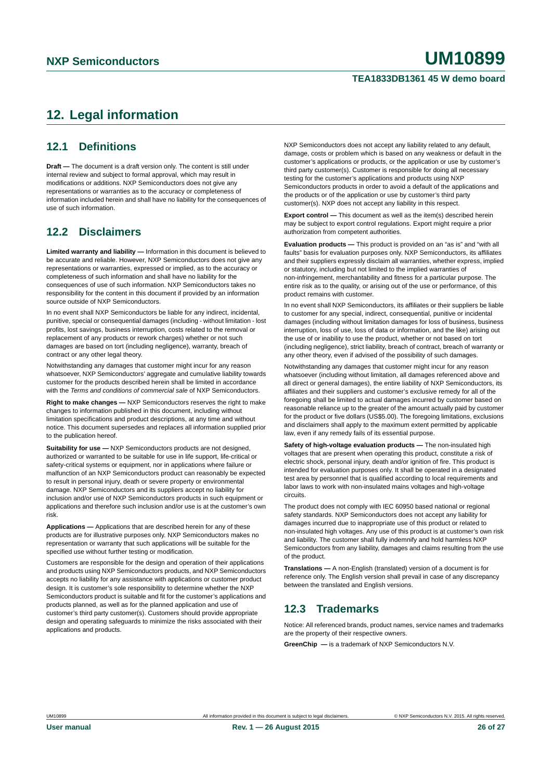#### **TEA1833DB1361 45 W demo board**

# <span id="page-25-0"></span>**12. Legal information**

## <span id="page-25-1"></span>**12.1 Definitions**

**Draft —** The document is a draft version only. The content is still under internal review and subject to formal approval, which may result in modifications or additions. NXP Semiconductors does not give any representations or warranties as to the accuracy or completeness of information included herein and shall have no liability for the consequences of use of such information.

### <span id="page-25-2"></span>**12.2 Disclaimers**

**Limited warranty and liability —** Information in this document is believed to be accurate and reliable. However, NXP Semiconductors does not give any representations or warranties, expressed or implied, as to the accuracy or completeness of such information and shall have no liability for the consequences of use of such information. NXP Semiconductors takes no responsibility for the content in this document if provided by an information source outside of NXP Semiconductors.

In no event shall NXP Semiconductors be liable for any indirect, incidental, punitive, special or consequential damages (including - without limitation - lost profits, lost savings, business interruption, costs related to the removal or replacement of any products or rework charges) whether or not such damages are based on tort (including negligence), warranty, breach of contract or any other legal theory.

Notwithstanding any damages that customer might incur for any reason whatsoever, NXP Semiconductors' aggregate and cumulative liability towards customer for the products described herein shall be limited in accordance with the *Terms and conditions of commercial sale* of NXP Semiconductors.

**Right to make changes —** NXP Semiconductors reserves the right to make changes to information published in this document, including without limitation specifications and product descriptions, at any time and without notice. This document supersedes and replaces all information supplied prior to the publication hereof.

**Suitability for use —** NXP Semiconductors products are not designed, authorized or warranted to be suitable for use in life support, life-critical or safety-critical systems or equipment, nor in applications where failure or malfunction of an NXP Semiconductors product can reasonably be expected to result in personal injury, death or severe property or environmental damage. NXP Semiconductors and its suppliers accept no liability for inclusion and/or use of NXP Semiconductors products in such equipment or applications and therefore such inclusion and/or use is at the customer's own risk.

**Applications —** Applications that are described herein for any of these products are for illustrative purposes only. NXP Semiconductors makes no representation or warranty that such applications will be suitable for the specified use without further testing or modification.

Customers are responsible for the design and operation of their applications and products using NXP Semiconductors products, and NXP Semiconductors accepts no liability for any assistance with applications or customer product design. It is customer's sole responsibility to determine whether the NXP Semiconductors product is suitable and fit for the customer's applications and products planned, as well as for the planned application and use of customer's third party customer(s). Customers should provide appropriate design and operating safeguards to minimize the risks associated with their applications and products.

NXP Semiconductors does not accept any liability related to any default, damage, costs or problem which is based on any weakness or default in the customer's applications or products, or the application or use by customer's third party customer(s). Customer is responsible for doing all necessary testing for the customer's applications and products using NXP Semiconductors products in order to avoid a default of the applications and the products or of the application or use by customer's third party customer(s). NXP does not accept any liability in this respect.

**Export control —** This document as well as the item(s) described herein may be subject to export control regulations. Export might require a prior authorization from competent authorities.

**Evaluation products —** This product is provided on an "as is" and "with all faults" basis for evaluation purposes only. NXP Semiconductors, its affiliates and their suppliers expressly disclaim all warranties, whether express, implied or statutory, including but not limited to the implied warranties of non-infringement, merchantability and fitness for a particular purpose. The entire risk as to the quality, or arising out of the use or performance, of this product remains with customer.

In no event shall NXP Semiconductors, its affiliates or their suppliers be liable to customer for any special, indirect, consequential, punitive or incidental damages (including without limitation damages for loss of business, business interruption, loss of use, loss of data or information, and the like) arising out the use of or inability to use the product, whether or not based on tort (including negligence), strict liability, breach of contract, breach of warranty or any other theory, even if advised of the possibility of such damages.

Notwithstanding any damages that customer might incur for any reason whatsoever (including without limitation, all damages referenced above and all direct or general damages), the entire liability of NXP Semiconductors, its affiliates and their suppliers and customer's exclusive remedy for all of the foregoing shall be limited to actual damages incurred by customer based on reasonable reliance up to the greater of the amount actually paid by customer for the product or five dollars (US\$5.00). The foregoing limitations, exclusions and disclaimers shall apply to the maximum extent permitted by applicable law, even if any remedy fails of its essential purpose.

**Safety of high-voltage evaluation products —** The non-insulated high voltages that are present when operating this product, constitute a risk of electric shock, personal injury, death and/or ignition of fire. This product is intended for evaluation purposes only. It shall be operated in a designated test area by personnel that is qualified according to local requirements and labor laws to work with non-insulated mains voltages and high-voltage circuits.

The product does not comply with IEC 60950 based national or regional safety standards. NXP Semiconductors does not accept any liability for damages incurred due to inappropriate use of this product or related to non-insulated high voltages. Any use of this product is at customer's own risk and liability. The customer shall fully indemnify and hold harmless NXP Semiconductors from any liability, damages and claims resulting from the use of the product.

**Translations —** A non-English (translated) version of a document is for reference only. The English version shall prevail in case of any discrepancy between the translated and English versions.

### <span id="page-25-3"></span>**12.3 Trademarks**

Notice: All referenced brands, product names, service names and trademarks are the property of their respective owners.

**GreenChip —** is a trademark of NXP Semiconductors N.V.